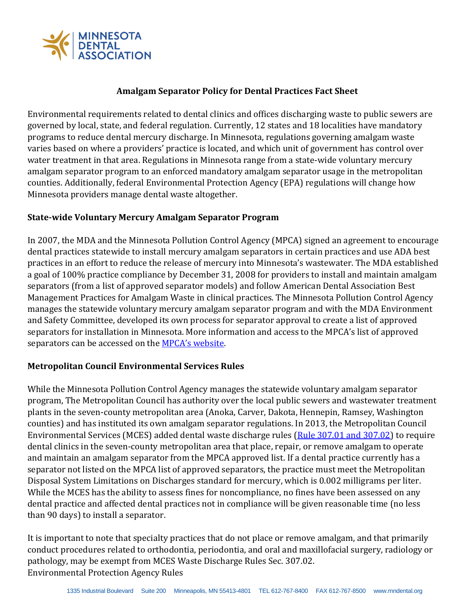

## **Amalgam Separator Policy for Dental Practices Fact Sheet**

Environmental requirements related to dental clinics and offices discharging waste to public sewers are governed by local, state, and federal regulation. Currently, 12 states and 18 localities have mandatory programs to reduce dental mercury discharge. In Minnesota, regulations governing amalgam waste varies based on where a providers' practice is located, and which unit of government has control over water treatment in that area. Regulations in Minnesota range from a state-wide voluntary mercury amalgam separator program to an enforced mandatory amalgam separator usage in the metropolitan counties. Additionally, federal Environmental Protection Agency (EPA) regulations will change how Minnesota providers manage dental waste altogether.

## **State-wide Voluntary Mercury Amalgam Separator Program**

In 2007, the MDA and the Minnesota Pollution Control Agency (MPCA) signed an agreement to encourage dental practices statewide to install mercury amalgam separators in certain practices and use ADA best practices in an effort to reduce the release of mercury into Minnesota's wastewater. The MDA established a goal of 100% practice compliance by December 31, 2008 for providers to install and maintain amalgam separators (from a list of approved separator models) and follow American Dental Association Best Management Practices for Amalgam Waste in clinical practices. The Minnesota Pollution Control Agency manages the statewide voluntary mercury amalgam separator program and with the MDA Environment and Safety Committee, developed its own process for separator approval to create a list of approved separators for installation in Minnesota. More information and access to the MPCA's list of approved separators can be accessed on the **[MPCA's website](http://www.pca.state.mn.us/quick-links/managing-dental-waste)**.

## **Metropolitan Council Environmental Services Rules**

While the Minnesota Pollution Control Agency manages the statewide voluntary amalgam separator program, The Metropolitan Council has authority over the local public sewers and wastewater treatment plants in the seven-county metropolitan area (Anoka, Carver, Dakota, Hennepin, Ramsey, Washington counties) and has instituted its own amalgam separator regulations. In 2013, the Metropolitan Council Environmental Services (MCES) added dental waste discharge rules [\(Rule 307.01 and 307.02\)](https://metrocouncil.org/Wastewater-Water/Publications-And-Resources/WasteDischargeRules-pdf.aspx) to require dental clinics in the seven-county metropolitan area that place, repair, or remove amalgam to operate and maintain an amalgam separator from the MPCA approved list. If a dental practice currently has a separator not listed on the MPCA list of approved separators, the practice must meet the Metropolitan Disposal System Limitations on Discharges standard for mercury, which is 0.002 milligrams per liter. While the MCES has the ability to assess fines for noncompliance, no fines have been assessed on any dental practice and affected dental practices not in compliance will be given reasonable time (no less than 90 days) to install a separator.

It is important to note that specialty practices that do not place or remove amalgam, and that primarily conduct procedures related to orthodontia, periodontia, and oral and maxillofacial surgery, radiology or pathology, may be exempt from MCES Waste Discharge Rules Sec. 307.02. Environmental Protection Agency Rules